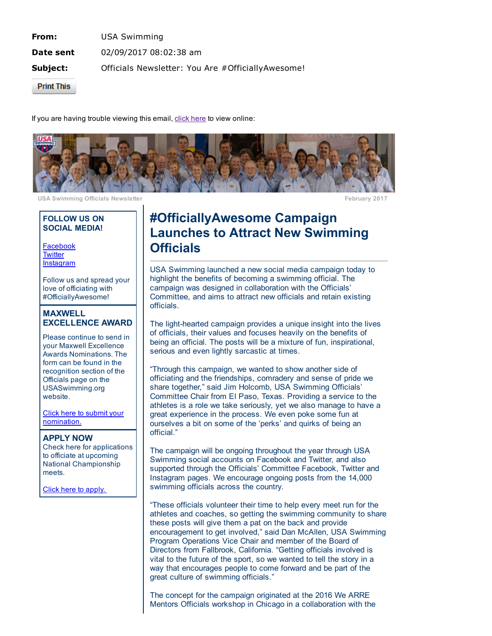From: USA Swimming **Date sent** 02/09/2017 08:02:38 am **Subject:** Officials Newsletter: You Are #OfficiallyAwesome!

**Print This** 

If you are having trouble viewing this email, click [here](http://echo4.bluehornet.com/p/v7-t5gCbwN) to view online:



USA Swimming Officials Newsletter February 2017

#### FOLLOW US ON SOCIAL MEDIA!

[Facebook](http://echo4.bluehornet.com/ct/92104609:7-t5gCbwN:m:N:201755875:6541270C288EC7DAFC9FEBBDEDD3DF3A) **[Twitter](http://echo4.bluehornet.com/ct/92104610:7-t5gCbwN:m:N:201755875:6541270C288EC7DAFC9FEBBDEDD3DF3A) [Instagram](http://echo4.bluehornet.com/ct/92104611:7-t5gCbwN:m:N:201755875:6541270C288EC7DAFC9FEBBDEDD3DF3A)** 

Follow us and spread your love of officiating with #OfficiallyAwesome!

### MAXWELL EXCELLENCE AWARD

Please continue to send in your Maxwell Excellence Awards Nominations. The form can be found in the recognition section of the Officials page on the USASwimming.org website.

Click here to submit your [nomination.](http://echo4.bluehornet.com/ct/92104612:7-t5gCbwN:m:N:201755875:6541270C288EC7DAFC9FEBBDEDD3DF3A)

#### APPLY NOW

Check here for applications to officiate at upcoming National Championship meets.

Click here to [apply.](http://echo4.bluehornet.com/ct/92104613:7-t5gCbwN:m:N:201755875:6541270C288EC7DAFC9FEBBDEDD3DF3A)

# #OfficiallyAwesome Campaign Launches to Attract New Swimming **Officials**

USA Swimming launched a new social media campaign today to highlight the benefits of becoming a swimming official. The campaign was designed in collaboration with the Officials' Committee, and aims to attract new officials and retain existing officials.

The light-hearted campaign provides a unique insight into the lives of officials, their values and focuses heavily on the benefits of being an official. The posts will be a mixture of fun, inspirational, serious and even lightly sarcastic at times.

"Through this campaign, we wanted to show another side of officiating and the friendships, comradery and sense of pride we share together," said Jim Holcomb, USA Swimming Officials' Committee Chair from El Paso, Texas. Providing a service to the athletes is a role we take seriously, yet we also manage to have a great experience in the process. We even poke some fun at ourselves a bit on some of the 'perks' and quirks of being an official."

The campaign will be ongoing throughout the year through USA Swimming social accounts on Facebook and Twitter, and also supported through the Officials' Committee Facebook, Twitter and Instagram pages. We encourage ongoing posts from the 14,000 swimming officials across the country.

"These officials volunteer their time to help every meet run for the athletes and coaches, so getting the swimming community to share these posts will give them a pat on the back and provide encouragement to get involved," said Dan McAllen, USA Swimming Program Operations Vice Chair and member of the Board of Directors from Fallbrook, California. "Getting officials involved is vital to the future of the sport, so we wanted to tell the story in a way that encourages people to come forward and be part of the great culture of swimming officials."

The concept for the campaign originated at the 2016 We ARRE Mentors Officials workshop in Chicago in a collaboration with the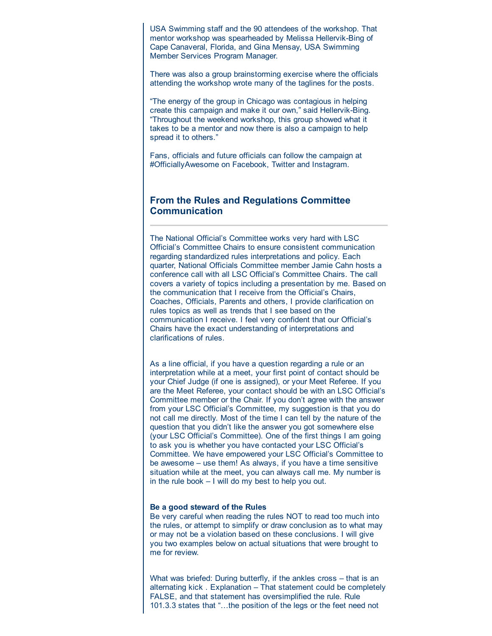USA Swimming staff and the 90 attendees of the workshop. That mentor workshop was spearheaded by Melissa Hellervik-Bing of Cape Canaveral, Florida, and Gina Mensay, USA Swimming Member Services Program Manager.

There was also a group brainstorming exercise where the officials attending the workshop wrote many of the taglines for the posts.

"The energy of the group in Chicago was contagious in helping create this campaign and make it our own," said Hellervik-Bing. "Throughout the weekend workshop, this group showed what it takes to be a mentor and now there is also a campaign to help spread it to others."

Fans, officials and future officials can follow the campaign at #OfficiallyAwesome on Facebook, Twitter and Instagram.

## From the Rules and Regulations Committee Communication

The National Official's Committee works very hard with LSC Official's Committee Chairs to ensure consistent communication regarding standardized rules interpretations and policy. Each quarter, National Officials Committee member Jamie Cahn hosts a conference call with all LSC Official's Committee Chairs. The call covers a variety of topics including a presentation by me. Based on the communication that I receive from the Official's Chairs, Coaches, Officials, Parents and others, I provide clarification on rules topics as well as trends that I see based on the communication I receive. I feel very confident that our Official's Chairs have the exact understanding of interpretations and clarifications of rules.

As a line official, if you have a question regarding a rule or an interpretation while at a meet, your first point of contact should be your Chief Judge (if one is assigned), or your Meet Referee. If you are the Meet Referee, your contact should be with an LSC Official's Committee member or the Chair. If you don't agree with the answer from your LSC Official's Committee, my suggestion is that you do not call me directly. Most of the time I can tell by the nature of the question that you didn't like the answer you got somewhere else (your LSC Official's Committee). One of the first things I am going to ask you is whether you have contacted your LSC Official's Committee. We have empowered your LSC Official's Committee to be awesome – use them! As always, if you have a time sensitive situation while at the meet, you can always call me. My number is in the rule book – I will do my best to help you out.

#### Be a good steward of the Rules

Be very careful when reading the rules NOT to read too much into the rules, or attempt to simplify or draw conclusion as to what may or may not be a violation based on these conclusions. I will give you two examples below on actual situations that were brought to me for review.

What was briefed: During butterfly, if the ankles cross – that is an alternating kick . Explanation – That statement could be completely FALSE, and that statement has oversimplified the rule. Rule 101.3.3 states that "…the position of the legs or the feet need not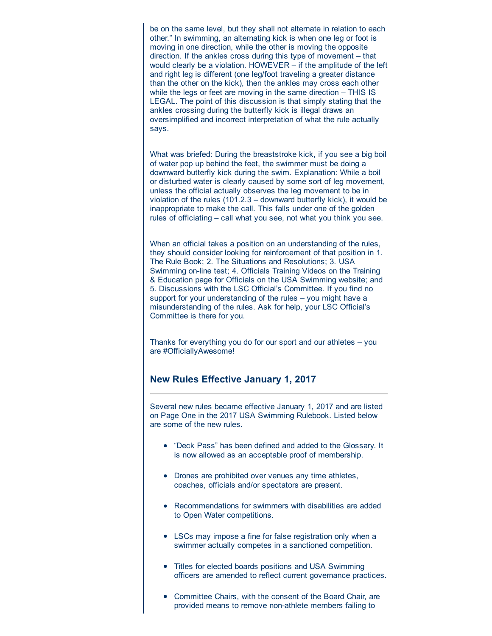be on the same level, but they shall not alternate in relation to each other." In swimming, an alternating kick is when one leg or foot is moving in one direction, while the other is moving the opposite direction. If the ankles cross during this type of movement – that would clearly be a violation. HOWEVER – if the amplitude of the left and right leg is different (one leg/foot traveling a greater distance than the other on the kick), then the ankles may cross each other while the legs or feet are moving in the same direction – THIS IS LEGAL. The point of this discussion is that simply stating that the ankles crossing during the butterfly kick is illegal draws an oversimplified and incorrect interpretation of what the rule actually says.

What was briefed: During the breaststroke kick, if you see a big boil of water pop up behind the feet, the swimmer must be doing a downward butterfly kick during the swim. Explanation: While a boil or disturbed water is clearly caused by some sort of leg movement, unless the official actually observes the leg movement to be in violation of the rules (101.2.3 – downward butterfly kick), it would be inappropriate to make the call. This falls under one of the golden rules of officiating – call what you see, not what you think you see.

When an official takes a position on an understanding of the rules, they should consider looking for reinforcement of that position in 1. The Rule Book; 2. The Situations and Resolutions; 3. USA Swimming on-line test; 4. Officials Training Videos on the Training & Education page for Officials on the USA Swimming website; and 5. Discussions with the LSC Official's Committee. If you find no support for your understanding of the rules – you might have a misunderstanding of the rules. Ask for help, your LSC Official's Committee is there for you.

Thanks for everything you do for our sport and our athletes – you are #OfficiallyAwesome!

## New Rules Effective January 1, 2017

Several new rules became effective January 1, 2017 and are listed on Page One in the 2017 USA Swimming Rulebook. Listed below are some of the new rules.

- "Deck Pass" has been defined and added to the Glossary. It is now allowed as an acceptable proof of membership.
- Drones are prohibited over venues any time athletes, coaches, officials and/or spectators are present.
- Recommendations for swimmers with disabilities are added to Open Water competitions.
- LSCs may impose a fine for false registration only when a swimmer actually competes in a sanctioned competition.
- Titles for elected boards positions and USA Swimming officers are amended to reflect current governance practices.
- Committee Chairs, with the consent of the Board Chair, are provided means to remove non-athlete members failing to